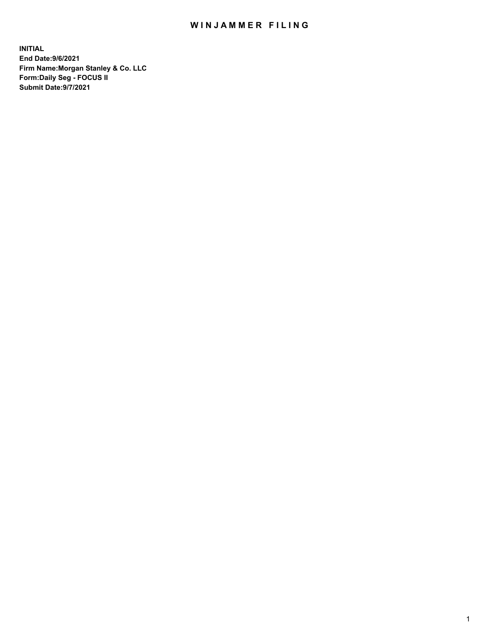## WIN JAMMER FILING

**INITIAL End Date:9/6/2021 Firm Name:Morgan Stanley & Co. LLC Form:Daily Seg - FOCUS II Submit Date:9/7/2021**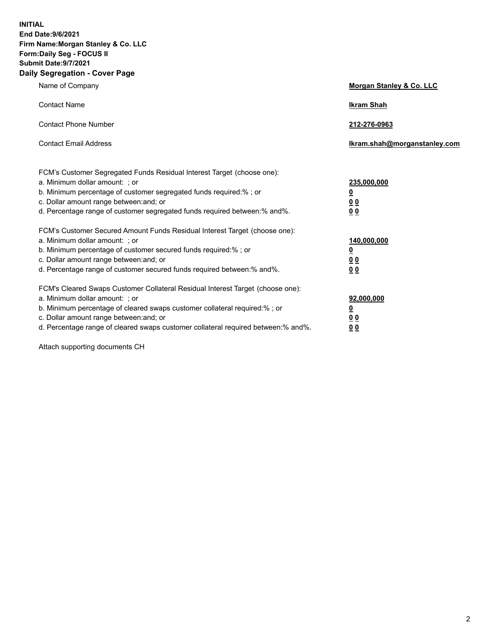**INITIAL End Date:9/6/2021 Firm Name:Morgan Stanley & Co. LLC Form:Daily Seg - FOCUS II Submit Date:9/7/2021 Daily Segregation - Cover Page**

| Name of Company                                                                                                                                                                                                                                                                                                                | <b>Morgan Stanley &amp; Co. LLC</b>                    |
|--------------------------------------------------------------------------------------------------------------------------------------------------------------------------------------------------------------------------------------------------------------------------------------------------------------------------------|--------------------------------------------------------|
| <b>Contact Name</b>                                                                                                                                                                                                                                                                                                            | <b>Ikram Shah</b>                                      |
| <b>Contact Phone Number</b>                                                                                                                                                                                                                                                                                                    | 212-276-0963                                           |
| <b>Contact Email Address</b>                                                                                                                                                                                                                                                                                                   | Ikram.shah@morganstanley.com                           |
| FCM's Customer Segregated Funds Residual Interest Target (choose one):<br>a. Minimum dollar amount: : or<br>b. Minimum percentage of customer segregated funds required:%; or<br>c. Dollar amount range between: and; or<br>d. Percentage range of customer segregated funds required between:% and%.                          | 235,000,000<br><u>0</u><br><u>00</u><br><u>00</u>      |
| FCM's Customer Secured Amount Funds Residual Interest Target (choose one):<br>a. Minimum dollar amount: ; or<br>b. Minimum percentage of customer secured funds required:%; or<br>c. Dollar amount range between: and; or<br>d. Percentage range of customer secured funds required between:% and%.                            | 140,000,000<br><u>0</u><br><u>00</u><br>0 <sub>0</sub> |
| FCM's Cleared Swaps Customer Collateral Residual Interest Target (choose one):<br>a. Minimum dollar amount: ; or<br>b. Minimum percentage of cleared swaps customer collateral required:% ; or<br>c. Dollar amount range between: and; or<br>d. Percentage range of cleared swaps customer collateral required between:% and%. | 92,000,000<br><u>0</u><br><u>00</u><br>00              |

Attach supporting documents CH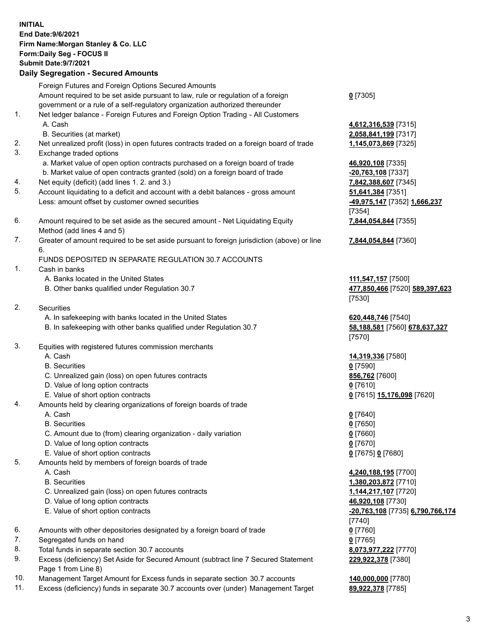| <b>INITIAL</b> | End Date: 9/6/2021<br>Firm Name: Morgan Stanley & Co. LLC<br>Form: Daily Seg - FOCUS II<br><b>Submit Date: 9/7/2021</b><br><b>Daily Segregation - Secured Amounts</b> |                                              |
|----------------|-----------------------------------------------------------------------------------------------------------------------------------------------------------------------|----------------------------------------------|
|                | Foreign Futures and Foreign Options Secured Amounts                                                                                                                   |                                              |
|                | Amount required to be set aside pursuant to law, rule or regulation of a foreign<br>government or a rule of a self-regulatory organization authorized thereunder      | $0$ [7305]                                   |
| 1.             | Net ledger balance - Foreign Futures and Foreign Option Trading - All Customers                                                                                       |                                              |
|                | A. Cash                                                                                                                                                               | 4,612,316,539 [7315]                         |
|                | B. Securities (at market)                                                                                                                                             | 2,058,841,199 [7317]                         |
| 2.<br>3.       | Net unrealized profit (loss) in open futures contracts traded on a foreign board of trade<br>Exchange traded options                                                  | 1,145,073,869 [7325]                         |
|                | a. Market value of open option contracts purchased on a foreign board of trade                                                                                        | 46,920,108 [7335]                            |
|                | b. Market value of open contracts granted (sold) on a foreign board of trade                                                                                          | -20,763,108 [7337]                           |
| 4.             | Net equity (deficit) (add lines 1.2. and 3.)                                                                                                                          | 7,842,388,607 [7345]                         |
| 5.             | Account liquidating to a deficit and account with a debit balances - gross amount                                                                                     | 51,641,384 [7351]                            |
|                | Less: amount offset by customer owned securities                                                                                                                      | -49,975,147 [7352] 1,666,237                 |
| 6.             | Amount required to be set aside as the secured amount - Net Liquidating Equity                                                                                        | [7354]<br>7,844,054,844 [7355]               |
|                | Method (add lines 4 and 5)                                                                                                                                            |                                              |
| 7.             | Greater of amount required to be set aside pursuant to foreign jurisdiction (above) or line                                                                           | 7,844,054,844 [7360]                         |
|                | 6.                                                                                                                                                                    |                                              |
| 1.             | FUNDS DEPOSITED IN SEPARATE REGULATION 30.7 ACCOUNTS<br>Cash in banks                                                                                                 |                                              |
|                | A. Banks located in the United States                                                                                                                                 | 111,547,157 [7500]                           |
|                | B. Other banks qualified under Regulation 30.7                                                                                                                        | 477,850,466 [7520] 589,397,623<br>[7530]     |
| 2.             | Securities                                                                                                                                                            |                                              |
|                | A. In safekeeping with banks located in the United States                                                                                                             | 620,448,746 [7540]                           |
|                | B. In safekeeping with other banks qualified under Regulation 30.7                                                                                                    | 58,188,581 [7560] 678,637,327<br>[7570]      |
| 3.             | Equities with registered futures commission merchants                                                                                                                 |                                              |
|                | A. Cash                                                                                                                                                               | 14,319,336 [7580]                            |
|                | <b>B.</b> Securities                                                                                                                                                  | $0$ [7590]                                   |
|                | C. Unrealized gain (loss) on open futures contracts                                                                                                                   | 856,762 [7600]                               |
|                | D. Value of long option contracts<br>E. Value of short option contracts                                                                                               | $0$ [7610]<br>0 [7615] 15,176,098 [7620]     |
| 4.             | Amounts held by clearing organizations of foreign boards of trade                                                                                                     |                                              |
|                | A. Cash                                                                                                                                                               | $0$ [7640]                                   |
|                | <b>B.</b> Securities                                                                                                                                                  | $0$ [7650]                                   |
|                | C. Amount due to (from) clearing organization - daily variation                                                                                                       | $0$ [7660]                                   |
|                | D. Value of long option contracts<br>E. Value of short option contracts                                                                                               | $0$ [7670]<br>0 [7675] 0 [7680]              |
| 5.             | Amounts held by members of foreign boards of trade                                                                                                                    |                                              |
|                | A. Cash                                                                                                                                                               | 4,240,188,195 [7700]                         |
|                | <b>B.</b> Securities                                                                                                                                                  | 1,380,203,872 [7710]                         |
|                | C. Unrealized gain (loss) on open futures contracts                                                                                                                   | 1,144,217,107 [7720]                         |
|                | D. Value of long option contracts                                                                                                                                     | 46,920,108 [7730]                            |
|                | E. Value of short option contracts                                                                                                                                    | -20,763,108 [7735] 6,790,766,174<br>$[7740]$ |
| 6.             | Amounts with other depositories designated by a foreign board of trade                                                                                                | $0$ [7760]                                   |
| 7.             | Segregated funds on hand                                                                                                                                              | $0$ [7765]                                   |
| 8.<br>9.       | Total funds in separate section 30.7 accounts<br>Excess (deficiency) Set Aside for Secured Amount (subtract line 7 Secured Statement                                  | 8,073,977,222 [7770]<br>229,922,378 [7380]   |
|                | Page 1 from Line 8)                                                                                                                                                   |                                              |

- 
- 10. Management Target Amount for Excess funds in separate section 30.7 accounts **140,000,000** [7780]<br>11. Excess (deficiency) funds in separate 30.7 accounts over (under) Management Target 89,922,378 [7785] 11. Excess (deficiency) funds in separate 30.7 accounts over (under) Management Target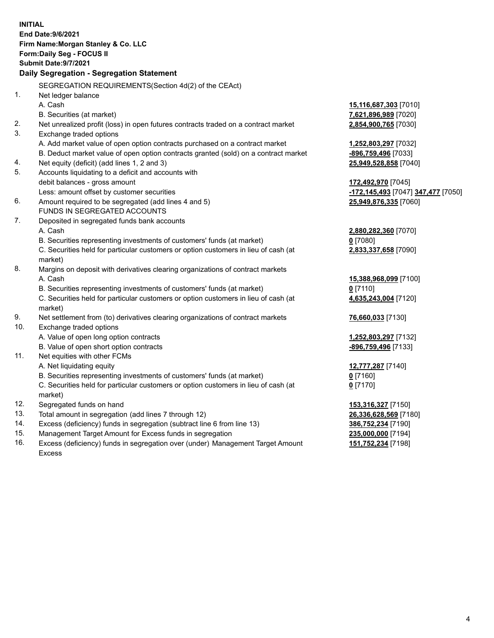|          | <b>INITIAL</b><br>End Date: 9/6/2021<br>Firm Name: Morgan Stanley & Co. LLC<br>Form: Daily Seg - FOCUS II<br><b>Submit Date: 9/7/2021</b><br>Daily Segregation - Segregation Statement |                                                                       |
|----------|----------------------------------------------------------------------------------------------------------------------------------------------------------------------------------------|-----------------------------------------------------------------------|
|          |                                                                                                                                                                                        |                                                                       |
| 1.       | SEGREGATION REQUIREMENTS(Section 4d(2) of the CEAct)                                                                                                                                   |                                                                       |
|          | Net ledger balance                                                                                                                                                                     |                                                                       |
|          | A. Cash                                                                                                                                                                                | 15,116,687,303 [7010]                                                 |
|          | B. Securities (at market)                                                                                                                                                              | 7,621,896,989 [7020]                                                  |
| 2.       | Net unrealized profit (loss) in open futures contracts traded on a contract market                                                                                                     | 2,854,900,765 [7030]                                                  |
| 3.       | Exchange traded options                                                                                                                                                                |                                                                       |
|          | A. Add market value of open option contracts purchased on a contract market                                                                                                            | 1,252,803,297 [7032]                                                  |
|          | B. Deduct market value of open option contracts granted (sold) on a contract market                                                                                                    | <u>-896,759,496</u> [7033]                                            |
| 4.<br>5. | Net equity (deficit) (add lines 1, 2 and 3)                                                                                                                                            | 25,949,528,858 [7040]                                                 |
|          | Accounts liquidating to a deficit and accounts with<br>debit balances - gross amount                                                                                                   |                                                                       |
|          | Less: amount offset by customer securities                                                                                                                                             | 172,492,970 [7045]<br><mark>-172,145,493</mark> [7047] 347,477 [7050] |
| 6.       | Amount required to be segregated (add lines 4 and 5)                                                                                                                                   | 25,949,876,335 [7060]                                                 |
|          | FUNDS IN SEGREGATED ACCOUNTS                                                                                                                                                           |                                                                       |
| 7.       | Deposited in segregated funds bank accounts                                                                                                                                            |                                                                       |
|          | A. Cash                                                                                                                                                                                | 2,880,282,360 [7070]                                                  |
|          | B. Securities representing investments of customers' funds (at market)                                                                                                                 | $0$ [7080]                                                            |
|          | C. Securities held for particular customers or option customers in lieu of cash (at                                                                                                    | 2,833,337,658 [7090]                                                  |
|          | market)                                                                                                                                                                                |                                                                       |
| 8.       | Margins on deposit with derivatives clearing organizations of contract markets                                                                                                         |                                                                       |
|          | A. Cash                                                                                                                                                                                | 15,388,968,099 [7100]                                                 |
|          | B. Securities representing investments of customers' funds (at market)                                                                                                                 | $0$ [7110]                                                            |
|          | C. Securities held for particular customers or option customers in lieu of cash (at<br>market)                                                                                         | 4,635,243,004 [7120]                                                  |
| 9.       | Net settlement from (to) derivatives clearing organizations of contract markets                                                                                                        | 76,660,033 [7130]                                                     |
| 10.      | Exchange traded options                                                                                                                                                                |                                                                       |
|          | A. Value of open long option contracts                                                                                                                                                 | 1,252,803,297 [7132]                                                  |
|          | B. Value of open short option contracts                                                                                                                                                | -896,759,496 [7133]                                                   |
| 11.      | Net equities with other FCMs                                                                                                                                                           |                                                                       |
|          | A. Net liquidating equity                                                                                                                                                              | 12,777,287 [7140]                                                     |
|          | B. Securities representing investments of customers' funds (at market)                                                                                                                 | 0 [7160]                                                              |
|          | C. Securities held for particular customers or option customers in lieu of cash (at                                                                                                    | $0$ [7170]                                                            |
|          | market)                                                                                                                                                                                |                                                                       |
| 12.      | Segregated funds on hand                                                                                                                                                               | 153,316,327 [7150]                                                    |
| 13.      | Total amount in segregation (add lines 7 through 12)                                                                                                                                   | 26,336,628,569 [7180]                                                 |
| 14.      | Excess (deficiency) funds in segregation (subtract line 6 from line 13)                                                                                                                | 386,752,234 [7190]                                                    |
| 15.      | Management Target Amount for Excess funds in segregation                                                                                                                               | 235,000,000 [7194]                                                    |

16. Excess (deficiency) funds in segregation over (under) Management Target Amount Excess

**151,752,234** [7198]